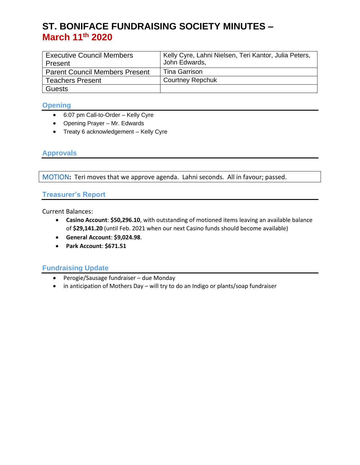# **ST. BONIFACE FUNDRAISING SOCIETY MINUTES – March 11th 2020**

| <b>Executive Council Members</b>      | Kelly Cyre, Lahni Nielsen, Teri Kantor, Julia Peters, |
|---------------------------------------|-------------------------------------------------------|
| Present                               | John Edwards,                                         |
| <b>Parent Council Members Present</b> | Tina Garrison                                         |
| <b>Teachers Present</b>               | <b>Courtney Repchuk</b>                               |
| <b>Guests</b>                         |                                                       |

## **Opening**

- 6:07 pm Call-to-Order Kelly Cyre
- Opening Prayer Mr. Edwards
- Treaty 6 acknowledgement Kelly Cyre

## **Approvals**

MOTION**:** Teri moves that we approve agenda. Lahni seconds. All in favour; passed.

## **Treasurer's Report**

Current Balances:

- **Casino Account**: **\$50,296.10**, with outstanding of motioned items leaving an available balance of **\$29,141.20** (until Feb. 2021 when our next Casino funds should become available)
- **General Account**: **\$9,024.98**.
- **Park Account**: **\$671.51**

## **Fundraising Update**

- Perogie/Sausage fundraiser due Monday
- in anticipation of Mothers Day will try to do an Indigo or plants/soap fundraiser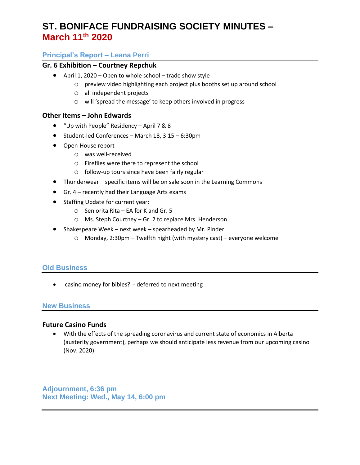# **ST. BONIFACE FUNDRAISING SOCIETY MINUTES – March 11th 2020**

## **Principal's Report – Leana Perri**

### **Gr. 6 Exhibition – Courtney Repchuk**

- April 1, 2020 Open to whole school trade show style
	- o preview video highlighting each project plus booths set up around school
	- o all independent projects
	- o will 'spread the message' to keep others involved in progress

### **Other Items – John Edwards**

- "Up with People" Residency April 7 & 8
- Student-led Conferences March 18, 3:15 6:30pm
- Open-House report
	- o was well-received
	- o Fireflies were there to represent the school
	- o follow-up tours since have been fairly regular
- Thunderwear specific items will be on sale soon in the Learning Commons
- Gr. 4 recently had their Language Arts exams
- Staffing Update for current year:
	- o Seniorita Rita EA for K and Gr. 5
	- o Ms. Steph Courtney Gr. 2 to replace Mrs. Henderson
- Shakespeare Week next week spearheaded by Mr. Pinder
	- o Monday, 2:30pm Twelfth night (with mystery cast) everyone welcome

### **Old Business**

• casino money for bibles? - deferred to next meeting

#### **New Business**

### **Future Casino Funds**

• With the effects of the spreading coronavirus and current state of economics in Alberta (austerity government), perhaps we should anticipate less revenue from our upcoming casino (Nov. 2020)

**Adjournment, 6:36 pm Next Meeting: Wed., May 14, 6:00 pm**